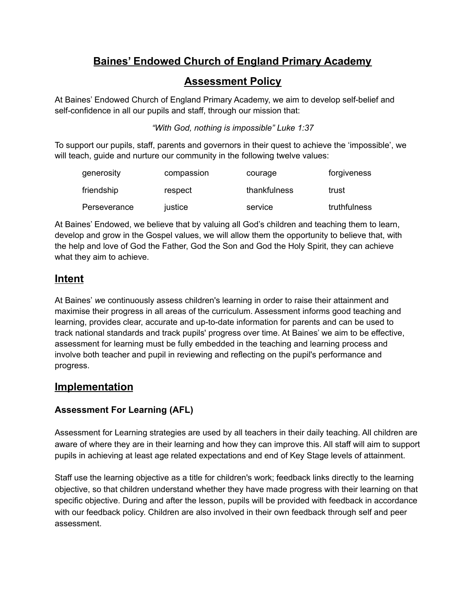# **Baines' Endowed Church of England Primary Academy**

### **Assessment Policy**

At Baines' Endowed Church of England Primary Academy, we aim to develop self-belief and self-confidence in all our pupils and staff, through our mission that:

*"With God, nothing is impossible" Luke 1:37*

To support our pupils, staff, parents and governors in their quest to achieve the 'impossible', we will teach, guide and nurture our community in the following twelve values:

| generosity   | compassion | courage      | forgiveness  |
|--------------|------------|--------------|--------------|
| friendship   | respect    | thankfulness | trust        |
| Perseverance | justice    | service      | truthfulness |

At Baines' Endowed, we believe that by valuing all God's children and teaching them to learn, develop and grow in the Gospel values, we will allow them the opportunity to believe that, with the help and love of God the Father, God the Son and God the Holy Spirit, they can achieve what they aim to achieve.

# **Intent**

At Baines' *w*e continuously assess children's learning in order to raise their attainment and maximise their progress in all areas of the curriculum. Assessment informs good teaching and learning, provides clear, accurate and up-to-date information for parents and can be used to track national standards and track pupils' progress over time. At Baines' we aim to be effective, assessment for learning must be fully embedded in the teaching and learning process and involve both teacher and pupil in reviewing and reflecting on the pupil's performance and progress.

# **Implementation**

### **Assessment For Learning (AFL)**

Assessment for Learning strategies are used by all teachers in their daily teaching. All children are aware of where they are in their learning and how they can improve this. All staff will aim to support pupils in achieving at least age related expectations and end of Key Stage levels of attainment.

Staff use the learning objective as a title for children's work; feedback links directly to the learning objective, so that children understand whether they have made progress with their learning on that specific objective. During and after the lesson, pupils will be provided with feedback in accordance with our feedback policy. Children are also involved in their own feedback through self and peer assessment.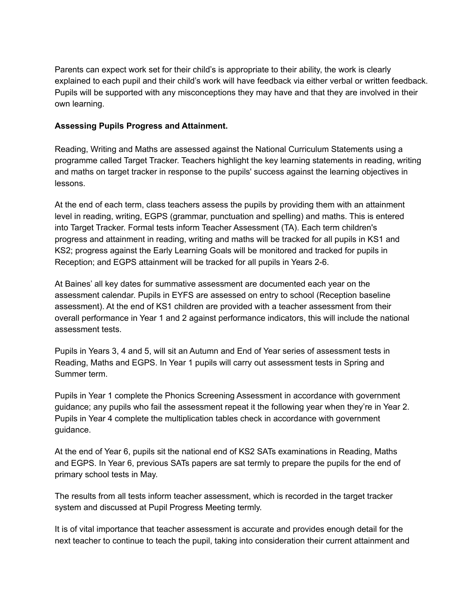Parents can expect work set for their child's is appropriate to their ability, the work is clearly explained to each pupil and their child's work will have feedback via either verbal or written feedback. Pupils will be supported with any misconceptions they may have and that they are involved in their own learning.

#### **Assessing Pupils Progress and Attainment.**

Reading, Writing and Maths are assessed against the National Curriculum Statements using a programme called Target Tracker. Teachers highlight the key learning statements in reading, writing and maths on target tracker in response to the pupils' success against the learning objectives in lessons.

At the end of each term, class teachers assess the pupils by providing them with an attainment level in reading, writing, EGPS (grammar, punctuation and spelling) and maths. This is entered into Target Tracker. Formal tests inform Teacher Assessment (TA). Each term children's progress and attainment in reading, writing and maths will be tracked for all pupils in KS1 and KS2; progress against the Early Learning Goals will be monitored and tracked for pupils in Reception; and EGPS attainment will be tracked for all pupils in Years 2-6.

At Baines' all key dates for summative assessment are documented each year on the assessment calendar. Pupils in EYFS are assessed on entry to school (Reception baseline assessment). At the end of KS1 children are provided with a teacher assessment from their overall performance in Year 1 and 2 against performance indicators, this will include the national assessment tests.

Pupils in Years 3, 4 and 5, will sit an Autumn and End of Year series of assessment tests in Reading, Maths and EGPS. In Year 1 pupils will carry out assessment tests in Spring and Summer term.

Pupils in Year 1 complete the Phonics Screening Assessment in accordance with government guidance; any pupils who fail the assessment repeat it the following year when they're in Year 2. Pupils in Year 4 complete the multiplication tables check in accordance with government guidance.

At the end of Year 6, pupils sit the national end of KS2 SATs examinations in Reading, Maths and EGPS. In Year 6, previous SATs papers are sat termly to prepare the pupils for the end of primary school tests in May.

The results from all tests inform teacher assessment, which is recorded in the target tracker system and discussed at Pupil Progress Meeting termly.

It is of vital importance that teacher assessment is accurate and provides enough detail for the next teacher to continue to teach the pupil, taking into consideration their current attainment and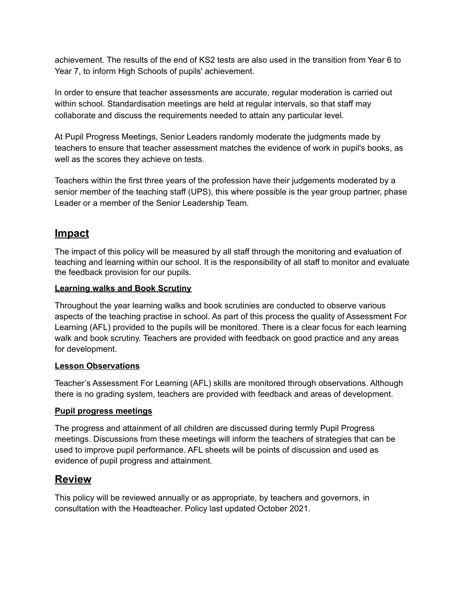achievement. The results of the end of KS2 tests are also used in the transition from Year 6 to Year 7, to inform High Schools of pupils' achievement.

In order to ensure that teacher assessments are accurate, regular moderation is carried out within school. Standardisation meetings are held at regular intervals, so that staff may collaborate and discuss the requirements needed to attain any particular level.

At Pupil Progress Meetings, Senior Leaders randomly moderate the judgments made by teachers to ensure that teacher assessment matches the evidence of work in pupil's books, as well as the scores they achieve on tests.

Teachers within the first three years of the profession have their judgements moderated by a senior member of the teaching staff (UPS), this where possible is the year group partner, phase Leader or a member of the Senior Leadership Team.

# **Impact**

The impact of this policy will be measured by all staff through the monitoring and evaluation of teaching and learning within our school. It is the responsibility of all staff to monitor and evaluate the feedback provision for our pupils.

#### **Learning walks and Book Scrutiny**

Throughout the year learning walks and book scrutinies are conducted to observe various aspects of the teaching practise in school. As part of this process the quality of Assessment For Learning (AFL) provided to the pupils will be monitored. There is a clear focus for each learning walk and book scrutiny. Teachers are provided with feedback on good practice and any areas for development.

#### **Lesson Observations**

Teacher's Assessment For Learning (AFL) skills are monitored through observations. Although there is no grading system, teachers are provided with feedback and areas of development.

#### **Pupil progress meetings**

The progress and attainment of all children are discussed during termly Pupil Progress meetings. Discussions from these meetings will inform the teachers of strategies that can be used to improve pupil performance. AFL sheets will be points of discussion and used as evidence of pupil progress and attainment.

### **Review**

This policy will be reviewed annually or as appropriate, by teachers and governors, in consultation with the Headteacher. Policy last updated October 2021.